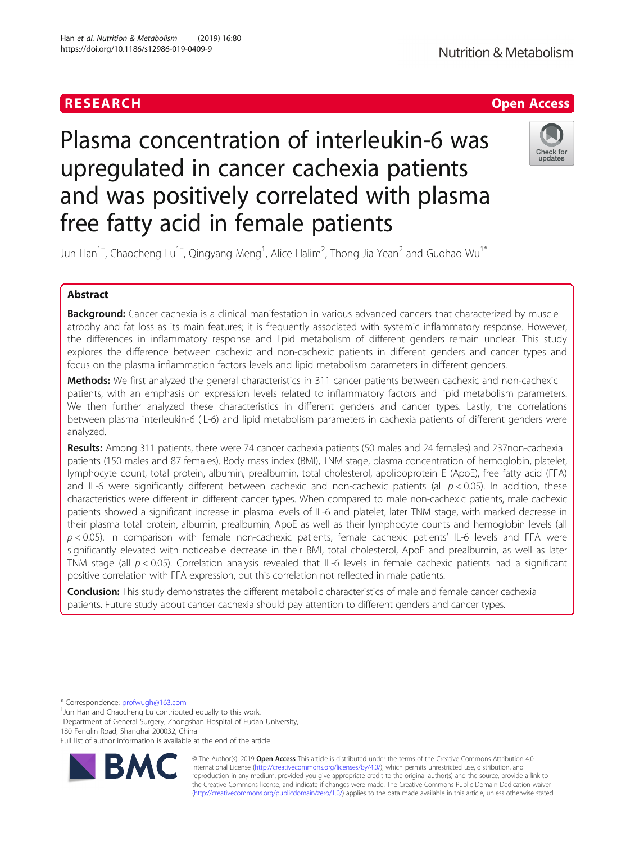

# Plasma concentration of interleukin-6 was upregulated in cancer cachexia patients and was positively correlated with plasma free fatty acid in female patients



Jun Han $^{1\dagger}$ , Chaocheng Lu $^{1\dagger}$ , Qingyang Meng $^{1}$ , Alice Halim $^{2}$ , Thong Jia Yean $^{2}$  and Guohao Wu $^{1*}$ 

# Abstract

**Background:** Cancer cachexia is a clinical manifestation in various advanced cancers that characterized by muscle atrophy and fat loss as its main features; it is frequently associated with systemic inflammatory response. However, the differences in inflammatory response and lipid metabolism of different genders remain unclear. This study explores the difference between cachexic and non-cachexic patients in different genders and cancer types and focus on the plasma inflammation factors levels and lipid metabolism parameters in different genders.

Methods: We first analyzed the general characteristics in 311 cancer patients between cachexic and non-cachexic patients, with an emphasis on expression levels related to inflammatory factors and lipid metabolism parameters. We then further analyzed these characteristics in different genders and cancer types. Lastly, the correlations between plasma interleukin-6 (IL-6) and lipid metabolism parameters in cachexia patients of different genders were analyzed.

Results: Among 311 patients, there were 74 cancer cachexia patients (50 males and 24 females) and 237non-cachexia patients (150 males and 87 females). Body mass index (BMI), TNM stage, plasma concentration of hemoglobin, platelet, lymphocyte count, total protein, albumin, prealbumin, total cholesterol, apolipoprotein E (ApoE), free fatty acid (FFA) and IL-6 were significantly different between cachexic and non-cachexic patients (all  $p < 0.05$ ). In addition, these characteristics were different in different cancer types. When compared to male non-cachexic patients, male cachexic patients showed a significant increase in plasma levels of IL-6 and platelet, later TNM stage, with marked decrease in their plasma total protein, albumin, prealbumin, ApoE as well as their lymphocyte counts and hemoglobin levels (all  $p < 0.05$ ). In comparison with female non-cachexic patients, female cachexic patients' IL-6 levels and FFA were significantly elevated with noticeable decrease in their BMI, total cholesterol, ApoE and prealbumin, as well as later TNM stage (all  $p < 0.05$ ). Correlation analysis revealed that IL-6 levels in female cachexic patients had a significant positive correlation with FFA expression, but this correlation not reflected in male patients.

**Conclusion:** This study demonstrates the different metabolic characteristics of male and female cancer cachexia patients. Future study about cancer cachexia should pay attention to different genders and cancer types.

\* Correspondence: [profwugh@163.com](mailto:profwugh@163.com) †

 $<sup>†</sup>$ Jun Han and Chaocheng Lu contributed equally to this work.</sup>

<sup>1</sup>Department of General Surgery, Zhongshan Hospital of Fudan University, 180 Fenglin Road, Shanghai 200032, China

Full list of author information is available at the end of the article



© The Author(s). 2019 **Open Access** This article is distributed under the terms of the Creative Commons Attribution 4.0 International License [\(http://creativecommons.org/licenses/by/4.0/](http://creativecommons.org/licenses/by/4.0/)), which permits unrestricted use, distribution, and reproduction in any medium, provided you give appropriate credit to the original author(s) and the source, provide a link to the Creative Commons license, and indicate if changes were made. The Creative Commons Public Domain Dedication waiver [\(http://creativecommons.org/publicdomain/zero/1.0/](http://creativecommons.org/publicdomain/zero/1.0/)) applies to the data made available in this article, unless otherwise stated.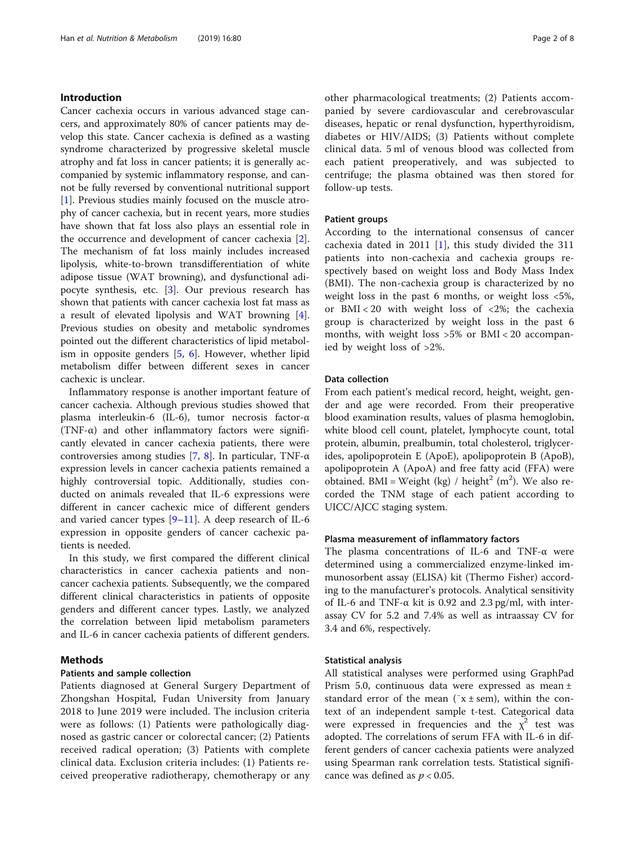# Introduction

Cancer cachexia occurs in various advanced stage cancers, and approximately 80% of cancer patients may develop this state. Cancer cachexia is defined as a wasting syndrome characterized by progressive skeletal muscle atrophy and fat loss in cancer patients; it is generally accompanied by systemic inflammatory response, and cannot be fully reversed by conventional nutritional support [[1\]](#page-6-0). Previous studies mainly focused on the muscle atrophy of cancer cachexia, but in recent years, more studies have shown that fat loss also plays an essential role in the occurrence and development of cancer cachexia [\[2](#page-6-0)]. The mechanism of fat loss mainly includes increased lipolysis, white-to-brown transdifferentiation of white adipose tissue (WAT browning), and dysfunctional adipocyte synthesis, etc. [\[3](#page-6-0)]. Our previous research has shown that patients with cancer cachexia lost fat mass as a result of elevated lipolysis and WAT browning [\[4](#page-6-0)]. Previous studies on obesity and metabolic syndromes pointed out the different characteristics of lipid metabolism in opposite genders  $[5, 6]$  $[5, 6]$  $[5, 6]$  $[5, 6]$  $[5, 6]$ . However, whether lipid metabolism differ between different sexes in cancer cachexic is unclear.

Inflammatory response is another important feature of cancer cachexia. Although previous studies showed that plasma interleukin-6 (IL-6), tumor necrosis factor-α (TNF- $\alpha$ ) and other inflammatory factors were significantly elevated in cancer cachexia patients, there were controversies among studies [[7,](#page-6-0) [8](#page-6-0)]. In particular, TNF- $\alpha$ expression levels in cancer cachexia patients remained a highly controversial topic. Additionally, studies conducted on animals revealed that IL-6 expressions were different in cancer cachexic mice of different genders and varied cancer types  $[9-11]$  $[9-11]$  $[9-11]$  $[9-11]$ . A deep research of IL-6 expression in opposite genders of cancer cachexic patients is needed.

In this study, we first compared the different clinical characteristics in cancer cachexia patients and noncancer cachexia patients. Subsequently, we the compared different clinical characteristics in patients of opposite genders and different cancer types. Lastly, we analyzed the correlation between lipid metabolism parameters and IL-6 in cancer cachexia patients of different genders.

# Methods

# Patients and sample collection

Patients diagnosed at General Surgery Department of Zhongshan Hospital, Fudan University from January 2018 to June 2019 were included. The inclusion criteria were as follows: (1) Patients were pathologically diagnosed as gastric cancer or colorectal cancer; (2) Patients received radical operation; (3) Patients with complete clinical data. Exclusion criteria includes: (1) Patients received preoperative radiotherapy, chemotherapy or any other pharmacological treatments; (2) Patients accompanied by severe cardiovascular and cerebrovascular diseases, hepatic or renal dysfunction, hyperthyroidism, diabetes or HIV/AIDS; (3) Patients without complete clinical data. 5 ml of venous blood was collected from each patient preoperatively, and was subjected to centrifuge; the plasma obtained was then stored for follow-up tests.

#### Patient groups

According to the international consensus of cancer cachexia dated in 2011 [\[1](#page-6-0)], this study divided the 311 patients into non-cachexia and cachexia groups respectively based on weight loss and Body Mass Index (BMI). The non-cachexia group is characterized by no weight loss in the past 6 months, or weight loss <5%, or BMI < 20 with weight loss of <2%; the cachexia group is characterized by weight loss in the past 6 months, with weight loss >5% or BMI < 20 accompanied by weight loss of >2%.

#### Data collection

From each patient's medical record, height, weight, gender and age were recorded. From their preoperative blood examination results, values of plasma hemoglobin, white blood cell count, platelet, lymphocyte count, total protein, albumin, prealbumin, total cholesterol, triglycerides, apolipoprotein E (ApoE), apolipoprotein B (ApoB), apolipoprotein A (ApoA) and free fatty acid (FFA) were obtained. BMI = Weight (kg) / height<sup>2</sup> (m<sup>2</sup>). We also recorded the TNM stage of each patient according to UICC/AJCC staging system.

# Plasma measurement of inflammatory factors

The plasma concentrations of IL-6 and TNF-α were determined using a commercialized enzyme-linked immunosorbent assay (ELISA) kit (Thermo Fisher) according to the manufacturer's protocols. Analytical sensitivity of IL-6 and TNF- $\alpha$  kit is 0.92 and 2.3 pg/ml, with interassay CV for 5.2 and 7.4% as well as intraassay CV for 3.4 and 6%, respectively.

# Statistical analysis

All statistical analyses were performed using GraphPad Prism 5.0, continuous data were expressed as mean ± standard error of the mean ( $\bar{x}$  ± sem), within the context of an independent sample t-test. Categorical data were expressed in frequencies and the  $\chi^2$  test was adopted. The correlations of serum FFA with IL-6 in different genders of cancer cachexia patients were analyzed using Spearman rank correlation tests. Statistical significance was defined as  $p < 0.05$ .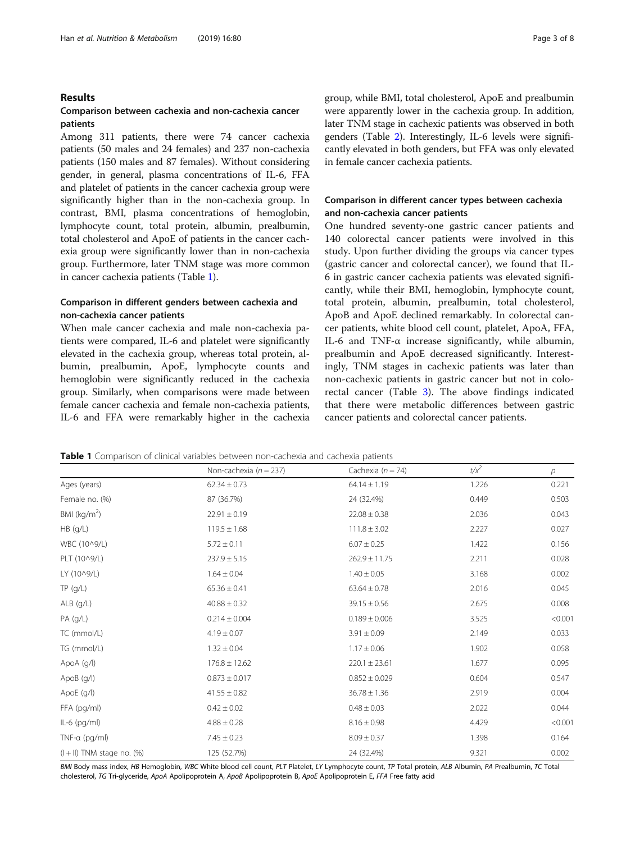# Results

# Comparison between cachexia and non-cachexia cancer patients

Among 311 patients, there were 74 cancer cachexia patients (50 males and 24 females) and 237 non-cachexia patients (150 males and 87 females). Without considering gender, in general, plasma concentrations of IL-6, FFA and platelet of patients in the cancer cachexia group were significantly higher than in the non-cachexia group. In contrast, BMI, plasma concentrations of hemoglobin, lymphocyte count, total protein, albumin, prealbumin, total cholesterol and ApoE of patients in the cancer cachexia group were significantly lower than in non-cachexia group. Furthermore, later TNM stage was more common in cancer cachexia patients (Table 1).

# Comparison in different genders between cachexia and non-cachexia cancer patients

When male cancer cachexia and male non-cachexia patients were compared, IL-6 and platelet were significantly elevated in the cachexia group, whereas total protein, albumin, prealbumin, ApoE, lymphocyte counts and hemoglobin were significantly reduced in the cachexia group. Similarly, when comparisons were made between female cancer cachexia and female non-cachexia patients, IL-6 and FFA were remarkably higher in the cachexia group, while BMI, total cholesterol, ApoE and prealbumin were apparently lower in the cachexia group. In addition, later TNM stage in cachexic patients was observed in both genders (Table [2\)](#page-3-0). Interestingly, IL-6 levels were significantly elevated in both genders, but FFA was only elevated in female cancer cachexia patients.

# Comparison in different cancer types between cachexia and non-cachexia cancer patients

One hundred seventy-one gastric cancer patients and 140 colorectal cancer patients were involved in this study. Upon further dividing the groups via cancer types (gastric cancer and colorectal cancer), we found that IL-6 in gastric cancer cachexia patients was elevated significantly, while their BMI, hemoglobin, lymphocyte count, total protein, albumin, prealbumin, total cholesterol, ApoB and ApoE declined remarkably. In colorectal cancer patients, white blood cell count, platelet, ApoA, FFA, IL-6 and TNF- $\alpha$  increase significantly, while albumin, prealbumin and ApoE decreased significantly. Interestingly, TNM stages in cachexic patients was later than non-cachexic patients in gastric cancer but not in colorectal cancer (Table [3\)](#page-3-0). The above findings indicated that there were metabolic differences between gastric cancer patients and colorectal cancer patients.

**Table 1** Comparison of clinical variables between non-cachexia and cachexia patients

|                                | Non-cachexia ( $n = 237$ ) | Cachexia ( $n = 74$ ) | $t/x^2$ | $\overline{p}$ |
|--------------------------------|----------------------------|-----------------------|---------|----------------|
| Ages (years)                   | $62.34 \pm 0.73$           | $64.14 \pm 1.19$      | 1.226   | 0.221          |
| Female no. (%)                 | 87 (36.7%)                 | 24 (32.4%)            | 0.449   | 0.503          |
| BMI ( $\text{kg/m}^2$ )        | $22.91 \pm 0.19$           | $22.08 \pm 0.38$      | 2.036   | 0.043          |
| HB (g/L)                       | $119.5 \pm 1.68$           | $111.8 \pm 3.02$      | 2.227   | 0.027          |
| WBC (10^9/L)                   | $5.72 \pm 0.11$            | $6.07 \pm 0.25$       | 1.422   | 0.156          |
| PLT (10^9/L)                   | $237.9 \pm 5.15$           | $262.9 \pm 11.75$     | 2.211   | 0.028          |
| LY (10^9/L)                    | $1.64 \pm 0.04$            | $1.40 \pm 0.05$       | 3.168   | 0.002          |
| TP(9/L)                        | $65.36 \pm 0.41$           | $63.64 \pm 0.78$      | 2.016   | 0.045          |
| ALB (g/L)                      | $40.88 \pm 0.32$           | $39.15 \pm 0.56$      | 2.675   | 0.008          |
| PA (g/L)                       | $0.214 \pm 0.004$          | $0.189 \pm 0.006$     | 3.525   | < 0.001        |
| TC (mmol/L)                    | $4.19 \pm 0.07$            | $3.91 \pm 0.09$       | 2.149   | 0.033          |
| TG (mmol/L)                    | $1.32 \pm 0.04$            | $1.17 \pm 0.06$       | 1.902   | 0.058          |
| ApoA (g/l)                     | $176.8 \pm 12.62$          | $220.1 \pm 23.61$     | 1.677   | 0.095          |
| ApoB (g/l)                     | $0.873 \pm 0.017$          | $0.852 \pm 0.029$     | 0.604   | 0.547          |
| ApoE (g/l)                     | $41.55 \pm 0.82$           | $36.78 \pm 1.36$      | 2.919   | 0.004          |
| FFA (pg/ml)                    | $0.42 \pm 0.02$            | $0.48 \pm 0.03$       | 2.022   | 0.044          |
| $IL-6$ (pg/ml)                 | $4.88 \pm 0.28$            | $8.16 \pm 0.98$       | 4.429   | < 0.001        |
| TNF- $\alpha$ (pg/ml)          | $7.45 \pm 0.23$            | $8.09 \pm 0.37$       | 1.398   | 0.164          |
| $(1 + 11)$ TNM stage no. $(%)$ | 125 (52.7%)                | 24 (32.4%)            | 9.321   | 0.002          |

BMI Body mass index, HB Hemoglobin, WBC White blood cell count, PLT Platelet, LY Lymphocyte count, TP Total protein, ALB Albumin, PA Prealbumin, TC Total cholesterol, TG Tri-glyceride, ApoA Apolipoprotein A, ApoB Apolipoprotein B, ApoE Apolipoprotein E, FFA Free fatty acid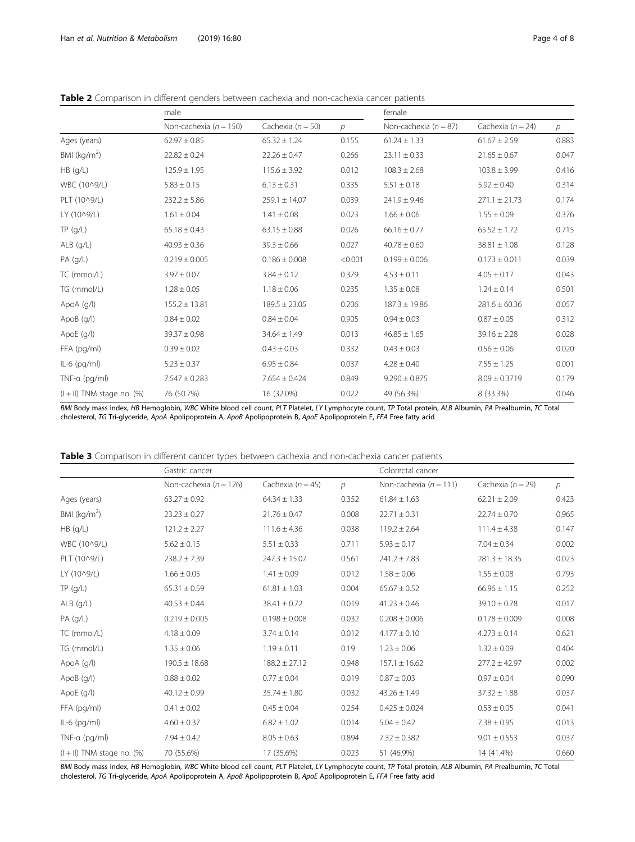<span id="page-3-0"></span>

|  |  |  |  | Table 2 Comparison in different genders between cachexia and non-cachexia cancer patients |  |
|--|--|--|--|-------------------------------------------------------------------------------------------|--|
|  |  |  |  |                                                                                           |  |

|                                 | male                       |                       | female  |                         |                       |               |
|---------------------------------|----------------------------|-----------------------|---------|-------------------------|-----------------------|---------------|
|                                 | Non-cachexia ( $n = 150$ ) | Cachexia ( $n = 50$ ) | р       | Non-cachexia $(n = 87)$ | Cachexia ( $n = 24$ ) | $\mathcal{P}$ |
| Ages (years)                    | $62.97 \pm 0.85$           | $65.32 \pm 1.24$      | 0.155   | $61.24 \pm 1.33$        | $61.67 \pm 2.59$      | 0.883         |
| BMI ( $\text{kg/m}^2$ )         | $22.82 \pm 0.24$           | $22.26 \pm 0.47$      | 0.266   | $23.11 \pm 0.33$        | $21.65 \pm 0.67$      | 0.047         |
| HB (g/L)                        | $125.9 \pm 1.95$           | $115.6 \pm 3.92$      | 0.012   | $108.3 \pm 2.68$        | $103.8 \pm 3.99$      | 0.416         |
| WBC (10^9/L)                    | $5.83 \pm 0.15$            | $6.13 \pm 0.31$       | 0.335   | $5.51 \pm 0.18$         | $5.92 \pm 0.40$       | 0.314         |
| PLT (10^9/L)                    | $232.2 \pm 5.86$           | $259.1 \pm 14.07$     | 0.039   | $241.9 \pm 9.46$        | $271.1 \pm 21.73$     | 0.174         |
| LY (10^9/L)                     | $1.61 \pm 0.04$            | $1.41 \pm 0.08$       | 0.023   | $1.66 \pm 0.06$         | $1.55 \pm 0.09$       | 0.376         |
| TP( q/L)                        | $65.18 \pm 0.43$           | $63.15 \pm 0.88$      | 0.026   | $66.16 \pm 0.77$        | $65.52 \pm 1.72$      | 0.715         |
| $ALB$ (g/L)                     | $40.93 \pm 0.36$           | $39.3 \pm 0.66$       | 0.027   | $40.78 \pm 0.60$        | $38.81 \pm 1.08$      | 0.128         |
| PA (g/L)                        | $0.219 \pm 0.005$          | $0.186 \pm 0.008$     | < 0.001 | $0.199 \pm 0.006$       | $0.173 \pm 0.011$     | 0.039         |
| TC (mmol/L)                     | $3.97 \pm 0.07$            | $3.84 \pm 0.12$       | 0.379   | $4.53 \pm 0.11$         | $4.05 \pm 0.17$       | 0.043         |
| TG (mmol/L)                     | $1.28 \pm 0.05$            | $1.18 \pm 0.06$       | 0.235   | $1.35 \pm 0.08$         | $1.24 \pm 0.14$       | 0.501         |
| ApoA (g/l)                      | $155.2 \pm 13.81$          | $189.5 \pm 23.05$     | 0.206   | $187.3 \pm 19.86$       | $281.6 \pm 60.36$     | 0.057         |
| ApoB (g/l)                      | $0.84 \pm 0.02$            | $0.84 \pm 0.04$       | 0.905   | $0.94 \pm 0.03$         | $0.87 \pm 0.05$       | 0.312         |
| ApoE (g/l)                      | $39.37 \pm 0.98$           | $34.64 \pm 1.49$      | 0.013   | $46.85 \pm 1.65$        | $39.16 \pm 2.28$      | 0.028         |
| FFA (pg/ml)                     | $0.39 \pm 0.02$            | $0.43 \pm 0.03$       | 0.332   | $0.43 \pm 0.03$         | $0.56 \pm 0.06$       | 0.020         |
| $IL-6$ (pg/ml)                  | $5.23 \pm 0.37$            | $6.95 \pm 0.84$       | 0.037   | $4.28 \pm 0.40$         | $7.55 \pm 1.25$       | 0.001         |
| TNF- $\alpha$ (pg/ml)           | $7.547 \pm 0.283$          | $7.654 \pm 0.424$     | 0.849   | $9.290 \pm 0.875$       | $8.09 \pm 0.3719$     | 0.179         |
| $(I + II)$ TNM stage no. $(\%)$ | 76 (50.7%)                 | 16 (32.0%)            | 0.022   | 49 (56.3%)              | 8 (33.3%)             | 0.046         |

BMI Body mass index, HB Hemoglobin, WBC White blood cell count, PLT Platelet, LY Lymphocyte count, TP Total protein, ALB Albumin, PA Prealbumin, TC Total cholesterol, TG Tri-glyceride, ApoA Apolipoprotein A, ApoB Apolipoprotein B, ApoE Apolipoprotein E, FFA Free fatty acid

| Table 3 Comparison in different cancer types between cachexia and non-cachexia cancer patients |  |
|------------------------------------------------------------------------------------------------|--|
|------------------------------------------------------------------------------------------------|--|

|                                | Gastric cancer             |                       |       | Colorectal cancer          |                       |               |
|--------------------------------|----------------------------|-----------------------|-------|----------------------------|-----------------------|---------------|
|                                | Non-cachexia ( $n = 126$ ) | Cachexia ( $n = 45$ ) | р     | Non-cachexia ( $n = 111$ ) | Cachexia ( $n = 29$ ) | $\mathcal{P}$ |
| Ages (years)                   | $63.27 \pm 0.92$           | $64.34 \pm 1.33$      | 0.352 | $61.84 \pm 1.63$           | $62.21 \pm 2.09$      | 0.423         |
| BMI ( $kg/m2$ )                | $23.23 \pm 0.27$           | $21.76 \pm 0.47$      | 0.008 | $22.71 \pm 0.31$           | $22.74 \pm 0.70$      | 0.965         |
| HB (q/L)                       | $121.2 \pm 2.27$           | $111.6 \pm 4.36$      | 0.038 | $119.2 \pm 2.64$           | $111.4 \pm 4.38$      | 0.147         |
| WBC (10^9/L)                   | $5.62 \pm 0.15$            | $5.51 \pm 0.33$       | 0.711 | $5.93 \pm 0.17$            | $7.04 \pm 0.34$       | 0.002         |
| PLT (10^9/L)                   | $238.2 \pm 7.39$           | $247.3 \pm 15.07$     | 0.561 | $241.2 \pm 7.83$           | $281.3 \pm 18.35$     | 0.023         |
| LY (10^9/L)                    | $1.66 \pm 0.05$            | $1.41 \pm 0.09$       | 0.012 | $1.58 \pm 0.06$            | $1.55 \pm 0.08$       | 0.793         |
| TP( q/L)                       | $65.31 \pm 0.59$           | $61.81 \pm 1.03$      | 0.004 | $65.67 \pm 0.52$           | $66.96 \pm 1.15$      | 0.252         |
| $ALB$ (g/L)                    | $40.53 \pm 0.44$           | $38.41 \pm 0.72$      | 0.019 | $41.23 \pm 0.46$           | $39.10 \pm 0.78$      | 0.017         |
| $PA$ (g/L)                     | $0.219 \pm 0.005$          | $0.198 \pm 0.008$     | 0.032 | $0.208 \pm 0.006$          | $0.178 \pm 0.009$     | 0.008         |
| TC (mmol/L)                    | $4.18 \pm 0.09$            | $3.74 \pm 0.14$       | 0.012 | $4.177 \pm 0.10$           | $4.273 \pm 0.14$      | 0.621         |
| TG (mmol/L)                    | $1.35 \pm 0.06$            | $1.19 \pm 0.11$       | 0.19  | $1.23 \pm 0.06$            | $1.32 \pm 0.09$       | 0.404         |
| ApoA $(q/$                     | $190.5 \pm 18.68$          | $188.2 \pm 27.12$     | 0.948 | $157.1 \pm 16.62$          | $277.2 \pm 42.97$     | 0.002         |
| ApoB (g/l)                     | $0.88 \pm 0.02$            | $0.77 \pm 0.04$       | 0.019 | $0.87 \pm 0.03$            | $0.97 \pm 0.04$       | 0.090         |
| ApoE (g/l)                     | $40.12 \pm 0.99$           | $35.74 \pm 1.80$      | 0.032 | $43.26 \pm 1.49$           | $37.32 \pm 1.88$      | 0.037         |
| FFA (pg/ml)                    | $0.41 \pm 0.02$            | $0.45 \pm 0.04$       | 0.254 | $0.425 \pm 0.024$          | $0.53 \pm 0.05$       | 0.041         |
| $IL-6$ (pg/ml)                 | $4.60 \pm 0.37$            | $6.82 \pm 1.02$       | 0.014 | $5.04 \pm 0.42$            | $7.38 \pm 0.95$       | 0.013         |
| TNF- $\alpha$ (pg/ml)          | $7.94 \pm 0.42$            | $8.05 \pm 0.63$       | 0.894 | $7.32 \pm 0.382$           | $9.01 \pm 0.553$      | 0.037         |
| $(1 + 11)$ TNM stage no. $(%)$ | 70 (55.6%)                 | 17 (35.6%)            | 0.023 | 51 (46.9%)                 | 14 (41.4%)            | 0.660         |

BMI Body mass index, HB Hemoglobin, WBC White blood cell count, PLT Platelet, LY Lymphocyte count, TP Total protein, ALB Albumin, PA Prealbumin, TC Total cholesterol, TG Tri-glyceride, ApoA Apolipoprotein A, ApoB Apolipoprotein B, ApoE Apolipoprotein E, FFA Free fatty acid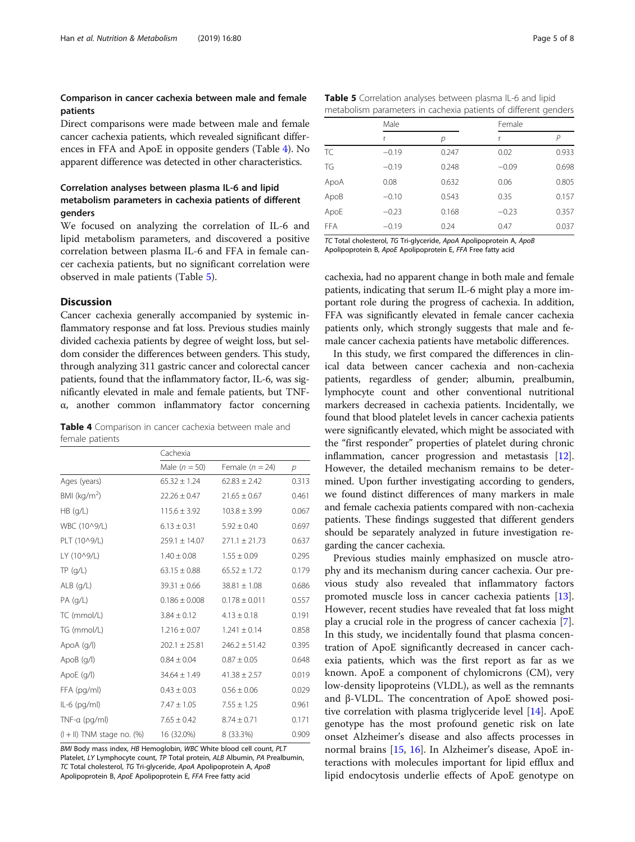# Comparison in cancer cachexia between male and female patients

Direct comparisons were made between male and female cancer cachexia patients, which revealed significant differences in FFA and ApoE in opposite genders (Table 4). No apparent difference was detected in other characteristics.

# Correlation analyses between plasma IL-6 and lipid metabolism parameters in cachexia patients of different genders

We focused on analyzing the correlation of IL-6 and lipid metabolism parameters, and discovered a positive correlation between plasma IL-6 and FFA in female cancer cachexia patients, but no significant correlation were observed in male patients (Table 5).

# Discussion

Cancer cachexia generally accompanied by systemic inflammatory response and fat loss. Previous studies mainly divided cachexia patients by degree of weight loss, but seldom consider the differences between genders. This study, through analyzing 311 gastric cancer and colorectal cancer patients, found that the inflammatory factor, IL-6, was significantly elevated in male and female patients, but TNFα, another common inflammatory factor concerning

| Table 4 Comparison in cancer cachexia between male and |  |  |  |
|--------------------------------------------------------|--|--|--|
| female patients                                        |  |  |  |

|                                 | Cachexia          |                   |       |  |  |
|---------------------------------|-------------------|-------------------|-------|--|--|
|                                 | Male $(n = 50)$   | Female $(n = 24)$ | р     |  |  |
| Ages (years)                    | $65.32 \pm 1.24$  | $62.83 \pm 2.42$  | 0.313 |  |  |
| BMI ( $kg/m2$ )                 | $22.26 \pm 0.47$  | $21.65 \pm 0.67$  | 0.461 |  |  |
| $HB$ (g/L)                      | $115.6 \pm 3.92$  | $103.8 \pm 3.99$  | 0.067 |  |  |
| WBC (10^9/L)                    | $6.13 \pm 0.31$   | $5.92 \pm 0.40$   | 0.697 |  |  |
| PLT (10^9/L)                    | $259.1 \pm 14.07$ | $271.1 \pm 21.73$ | 0.637 |  |  |
| LY (10^9/L)                     | $1.40 \pm 0.08$   | $1.55 \pm 0.09$   | 0.295 |  |  |
| TP(q/L)                         | $63.15 \pm 0.88$  | $65.52 \pm 1.72$  | 0.179 |  |  |
| $ALB$ (g/L)                     | $39.31 \pm 0.66$  | $38.81 \pm 1.08$  | 0.686 |  |  |
| $PA$ (g/L)                      | $0.186 \pm 0.008$ | $0.178 \pm 0.011$ | 0.557 |  |  |
| TC (mmol/L)                     | $3.84 \pm 0.12$   | $4.13 \pm 0.18$   | 0.191 |  |  |
| TG (mmol/L)                     | $1.216 \pm 0.07$  | $1.241 \pm 0.14$  | 0.858 |  |  |
| ApoA (g/l)                      | $202.1 \pm 25.81$ | $246.2 \pm 51.42$ | 0.395 |  |  |
| ApoB (g/l)                      | $0.84 \pm 0.04$   | $0.87 \pm 0.05$   | 0.648 |  |  |
| ApoE (g/l)                      | $34.64 \pm 1.49$  | $41.38 \pm 2.57$  | 0.019 |  |  |
| FFA (pg/ml)                     | $0.43 \pm 0.03$   | $0.56 \pm 0.06$   | 0.029 |  |  |
| $IL-6$ (pg/ml)                  | $7.47 \pm 1.05$   | $7.55 \pm 1.25$   | 0.961 |  |  |
| TNF- $\alpha$ (pg/ml)           | $7.65 \pm 0.42$   | $8.74 \pm 0.71$   | 0.171 |  |  |
| $(I + II)$ TNM stage no. $(\%)$ | 16 (32.0%)        | 8 (33.3%)         | 0.909 |  |  |

BMI Body mass index, HB Hemoglobin, WBC White blood cell count, PLT Platelet, LY Lymphocyte count, TP Total protein, ALB Albumin, PA Prealbumin, TC Total cholesterol, TG Tri-glyceride, ApoA Apolipoprotein A, ApoB Apolipoprotein B, ApoE Apolipoprotein E, FFA Free fatty acid

| Table 5 Correlation analyses between plasma IL-6 and lipid      |  |
|-----------------------------------------------------------------|--|
| metabolism parameters in cachexia patients of different genders |  |

|            | Male    |       | Female  |       |
|------------|---------|-------|---------|-------|
|            |         | р     | r       | Р     |
| TC         | $-0.19$ | 0.247 | 0.02    | 0.933 |
| TG         | $-0.19$ | 0.248 | $-0.09$ | 0.698 |
| ApoA       | 0.08    | 0.632 | 0.06    | 0.805 |
| ApoB       | $-0.10$ | 0.543 | 0.35    | 0.157 |
| ApoE       | $-0.23$ | 0.168 | $-0.23$ | 0.357 |
| <b>FFA</b> | $-0.19$ | 0.24  | 0.47    | 0.037 |

TC Total cholesterol, TG Tri-glyceride, ApoA Apolipoprotein A, ApoB Apolipoprotein B, ApoE Apolipoprotein E, FFA Free fatty acid

cachexia, had no apparent change in both male and female patients, indicating that serum IL-6 might play a more important role during the progress of cachexia. In addition, FFA was significantly elevated in female cancer cachexia patients only, which strongly suggests that male and female cancer cachexia patients have metabolic differences.

In this study, we first compared the differences in clinical data between cancer cachexia and non-cachexia patients, regardless of gender; albumin, prealbumin, lymphocyte count and other conventional nutritional markers decreased in cachexia patients. Incidentally, we found that blood platelet levels in cancer cachexia patients were significantly elevated, which might be associated with the "first responder" properties of platelet during chronic inflammation, cancer progression and metastasis [[12](#page-6-0)]. However, the detailed mechanism remains to be determined. Upon further investigating according to genders, we found distinct differences of many markers in male and female cachexia patients compared with non-cachexia patients. These findings suggested that different genders should be separately analyzed in future investigation regarding the cancer cachexia.

Previous studies mainly emphasized on muscle atrophy and its mechanism during cancer cachexia. Our previous study also revealed that inflammatory factors promoted muscle loss in cancer cachexia patients [\[13](#page-6-0)]. However, recent studies have revealed that fat loss might play a crucial role in the progress of cancer cachexia [\[7](#page-6-0)]. In this study, we incidentally found that plasma concentration of ApoE significantly decreased in cancer cachexia patients, which was the first report as far as we known. ApoE a component of chylomicrons (CM), very low-density lipoproteins (VLDL), as well as the remnants and β-VLDL. The concentration of ApoE showed positive correlation with plasma triglyceride level [\[14](#page-6-0)]. ApoE genotype has the most profound genetic risk on late onset Alzheimer's disease and also affects processes in normal brains [\[15,](#page-6-0) [16](#page-6-0)]. In Alzheimer's disease, ApoE interactions with molecules important for lipid efflux and lipid endocytosis underlie effects of ApoE genotype on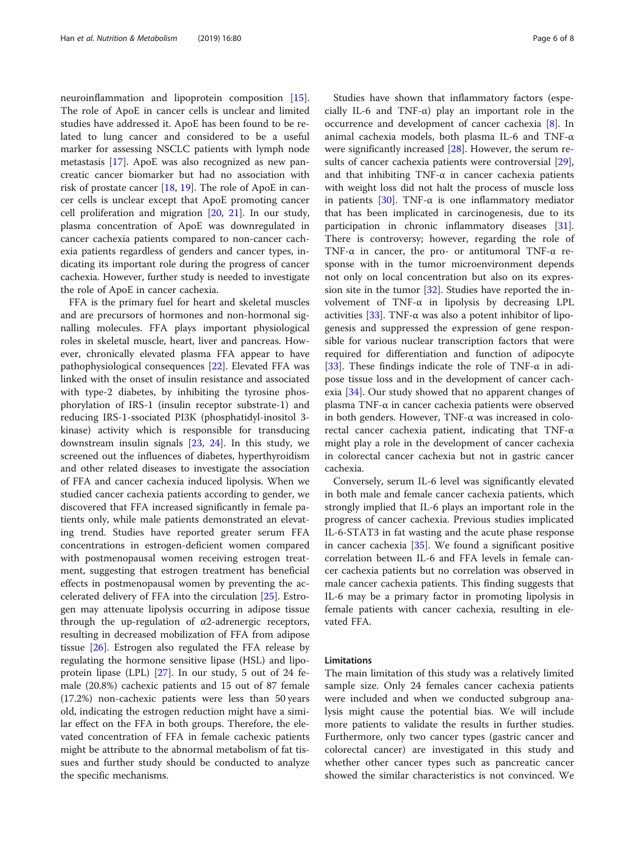neuroinflammation and lipoprotein composition [\[15](#page-6-0)]. The role of ApoE in cancer cells is unclear and limited studies have addressed it. ApoE has been found to be related to lung cancer and considered to be a useful marker for assessing NSCLC patients with lymph node metastasis [[17](#page-6-0)]. ApoE was also recognized as new pancreatic cancer biomarker but had no association with risk of prostate cancer [\[18](#page-6-0), [19\]](#page-6-0). The role of ApoE in cancer cells is unclear except that ApoE promoting cancer cell proliferation and migration [[20,](#page-6-0) [21](#page-6-0)]. In our study, plasma concentration of ApoE was downregulated in cancer cachexia patients compared to non-cancer cachexia patients regardless of genders and cancer types, indicating its important role during the progress of cancer cachexia. However, further study is needed to investigate the role of ApoE in cancer cachexia.

FFA is the primary fuel for heart and skeletal muscles and are precursors of hormones and non-hormonal signalling molecules. FFA plays important physiological roles in skeletal muscle, heart, liver and pancreas. However, chronically elevated plasma FFA appear to have pathophysiological consequences [[22\]](#page-6-0). Elevated FFA was linked with the onset of insulin resistance and associated with type-2 diabetes, by inhibiting the tyrosine phosphorylation of IRS-1 (insulin receptor substrate-1) and reducing IRS-1-ssociated PI3K (phosphatidyl-inositol 3 kinase) activity which is responsible for transducing downstream insulin signals [[23,](#page-6-0) [24\]](#page-6-0). In this study, we screened out the influences of diabetes, hyperthyroidism and other related diseases to investigate the association of FFA and cancer cachexia induced lipolysis. When we studied cancer cachexia patients according to gender, we discovered that FFA increased significantly in female patients only, while male patients demonstrated an elevating trend. Studies have reported greater serum FFA concentrations in estrogen-deficient women compared with postmenopausal women receiving estrogen treatment, suggesting that estrogen treatment has beneficial effects in postmenopausal women by preventing the accelerated delivery of FFA into the circulation [\[25](#page-6-0)]. Estrogen may attenuate lipolysis occurring in adipose tissue through the up-regulation of  $\alpha$ 2-adrenergic receptors, resulting in decreased mobilization of FFA from adipose tissue [\[26](#page-6-0)]. Estrogen also regulated the FFA release by regulating the hormone sensitive lipase (HSL) and lipoprotein lipase (LPL) [[27\]](#page-6-0). In our study, 5 out of 24 female (20.8%) cachexic patients and 15 out of 87 female (17.2%) non-cachexic patients were less than 50 years old, indicating the estrogen reduction might have a similar effect on the FFA in both groups. Therefore, the elevated concentration of FFA in female cachexic patients might be attribute to the abnormal metabolism of fat tissues and further study should be conducted to analyze the specific mechanisms.

Studies have shown that inflammatory factors (especially IL-6 and TNF- $\alpha$ ) play an important role in the occurrence and development of cancer cachexia [\[8](#page-6-0)]. In animal cachexia models, both plasma IL-6 and TNF-α were significantly increased [\[28\]](#page-6-0). However, the serum re-sults of cancer cachexia patients were controversial [\[29](#page-6-0)], and that inhibiting TNF- $\alpha$  in cancer cachexia patients with weight loss did not halt the process of muscle loss in patients [[30\]](#page-7-0). TNF-α is one inflammatory mediator that has been implicated in carcinogenesis, due to its participation in chronic inflammatory diseases [\[31](#page-7-0)]. There is controversy; however, regarding the role of TNF-α in cancer, the pro- or antitumoral TNF-α response with in the tumor microenvironment depends not only on local concentration but also on its expression site in the tumor  $[32]$  $[32]$  $[32]$ . Studies have reported the involvement of TNF-α in lipolysis by decreasing LPL activities [\[33](#page-7-0)]. TNF- $\alpha$  was also a potent inhibitor of lipogenesis and suppressed the expression of gene responsible for various nuclear transcription factors that were required for differentiation and function of adipocyte [[33\]](#page-7-0). These findings indicate the role of TNF- $\alpha$  in adipose tissue loss and in the development of cancer cachexia [\[34\]](#page-7-0). Our study showed that no apparent changes of plasma TNF-α in cancer cachexia patients were observed in both genders. However, TNF-α was increased in colorectal cancer cachexia patient, indicating that TNF-α might play a role in the development of cancer cachexia in colorectal cancer cachexia but not in gastric cancer cachexia.

Conversely, serum IL-6 level was significantly elevated in both male and female cancer cachexia patients, which strongly implied that IL-6 plays an important role in the progress of cancer cachexia. Previous studies implicated IL-6-STAT3 in fat wasting and the acute phase response in cancer cachexia [[35](#page-7-0)]. We found a significant positive correlation between IL-6 and FFA levels in female cancer cachexia patients but no correlation was observed in male cancer cachexia patients. This finding suggests that IL-6 may be a primary factor in promoting lipolysis in female patients with cancer cachexia, resulting in elevated FFA.

#### Limitations

The main limitation of this study was a relatively limited sample size. Only 24 females cancer cachexia patients were included and when we conducted subgroup analysis might cause the potential bias. We will include more patients to validate the results in further studies. Furthermore, only two cancer types (gastric cancer and colorectal cancer) are investigated in this study and whether other cancer types such as pancreatic cancer showed the similar characteristics is not convinced. We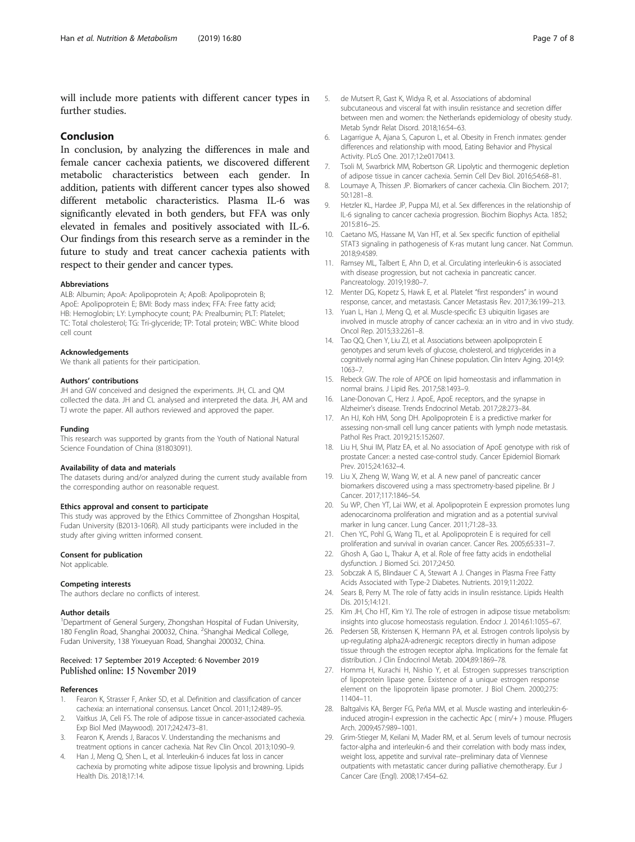<span id="page-6-0"></span>will include more patients with different cancer types in further studies.

# Conclusion

In conclusion, by analyzing the differences in male and female cancer cachexia patients, we discovered different metabolic characteristics between each gender. In addition, patients with different cancer types also showed different metabolic characteristics. Plasma IL-6 was significantly elevated in both genders, but FFA was only elevated in females and positively associated with IL-6. Our findings from this research serve as a reminder in the future to study and treat cancer cachexia patients with respect to their gender and cancer types.

#### Abbreviations

ALB: Albumin; ApoA: Apolipoprotein A; ApoB: Apolipoprotein B; ApoE: Apolipoprotein E; BMI: Body mass index; FFA: Free fatty acid; HB: Hemoglobin; LY: Lymphocyte count; PA: Prealbumin; PLT: Platelet; TC: Total cholesterol; TG: Tri-glyceride; TP: Total protein; WBC: White blood cell count

#### Acknowledgements

We thank all patients for their participation.

#### Authors' contributions

JH and GW conceived and designed the experiments. JH, CL and QM collected the data. JH and CL analysed and interpreted the data. JH, AM and TJ wrote the paper. All authors reviewed and approved the paper.

#### Funding

This research was supported by grants from the Youth of National Natural Science Foundation of China (81803091).

#### Availability of data and materials

The datasets during and/or analyzed during the current study available from the corresponding author on reasonable request.

# Ethics approval and consent to participate

This study was approved by the Ethics Committee of Zhongshan Hospital, Fudan University (B2013-106R). All study participants were included in the study after giving written informed consent.

#### Consent for publication

Not applicable.

#### Competing interests

The authors declare no conflicts of interest.

#### Author details

<sup>1</sup>Department of General Surgery, Zhongshan Hospital of Fudan University, 180 Fenglin Road, Shanghai 200032, China. <sup>2</sup>Shanghai Medical College, Fudan University, 138 Yixueyuan Road, Shanghai 200032, China.

#### Received: 17 September 2019 Accepted: 6 November 2019 Published online: 15 November 2019

#### References

- 1. Fearon K, Strasser F, Anker SD, et al. Definition and classification of cancer cachexia: an international consensus. Lancet Oncol. 2011;12:489–95.
- 2. Vaitkus JA, Celi FS. The role of adipose tissue in cancer-associated cachexia. Exp Biol Med (Maywood). 2017;242:473–81.
- 3. Fearon K, Arends J, Baracos V. Understanding the mechanisms and treatment options in cancer cachexia. Nat Rev Clin Oncol. 2013;10:90–9.
- 4. Han J, Meng Q, Shen L, et al. Interleukin-6 induces fat loss in cancer cachexia by promoting white adipose tissue lipolysis and browning. Lipids Health Dis. 2018;17:14.
- 5. de Mutsert R, Gast K, Widya R, et al. Associations of abdominal subcutaneous and visceral fat with insulin resistance and secretion differ between men and women: the Netherlands epidemiology of obesity study. Metab Syndr Relat Disord. 2018;16:54–63.
- 6. Lagarrigue A, Ajana S, Capuron L, et al. Obesity in French inmates: gender differences and relationship with mood, Eating Behavior and Physical Activity. PLoS One. 2017;12:e0170413.
- 7. Tsoli M, Swarbrick MM, Robertson GR. Lipolytic and thermogenic depletion of adipose tissue in cancer cachexia. Semin Cell Dev Biol. 2016;54:68–81.
- 8. Loumaye A, Thissen JP. Biomarkers of cancer cachexia. Clin Biochem. 2017; 50:1281–8.
- 9. Hetzler KL, Hardee JP, Puppa MJ, et al. Sex differences in the relationship of IL-6 signaling to cancer cachexia progression. Biochim Biophys Acta. 1852; 2015:816–25.
- 10. Caetano MS, Hassane M, Van HT, et al. Sex specific function of epithelial STAT3 signaling in pathogenesis of K-ras mutant lung cancer. Nat Commun. 2018;9:4589.
- 11. Ramsey ML, Talbert E, Ahn D, et al. Circulating interleukin-6 is associated with disease progression, but not cachexia in pancreatic cancer. Pancreatology. 2019;19:80–7.
- 12. Menter DG, Kopetz S, Hawk E, et al. Platelet "first responders" in wound response, cancer, and metastasis. Cancer Metastasis Rev. 2017;36:199–213.
- 13. Yuan L, Han J, Meng Q, et al. Muscle-specific E3 ubiquitin ligases are involved in muscle atrophy of cancer cachexia: an in vitro and in vivo study. Oncol Rep. 2015;33:2261–8.
- 14. Tao QQ, Chen Y, Liu ZJ, et al. Associations between apolipoprotein E genotypes and serum levels of glucose, cholesterol, and triglycerides in a cognitively normal aging Han Chinese population. Clin Interv Aging. 2014;9: 1063–7.
- 15. Rebeck GW. The role of APOE on lipid homeostasis and inflammation in normal brains. J Lipid Res. 2017;58:1493–9.
- 16. Lane-Donovan C, Herz J. ApoE, ApoE receptors, and the synapse in Alzheimer's disease. Trends Endocrinol Metab. 2017;28:273–84.
- 17. An HJ, Koh HM, Song DH. Apolipoprotein E is a predictive marker for assessing non-small cell lung cancer patients with lymph node metastasis. Pathol Res Pract. 2019;215:152607.
- 18. Liu H, Shui IM, Platz EA, et al. No association of ApoE genotype with risk of prostate Cancer: a nested case-control study. Cancer Epidemiol Biomark Prev. 2015;24:1632–4.
- 19. Liu X, Zheng W, Wang W, et al. A new panel of pancreatic cancer biomarkers discovered using a mass spectrometry-based pipeline. Br J Cancer. 2017;117:1846–54.
- 20. Su WP, Chen YT, Lai WW, et al. Apolipoprotein E expression promotes lung adenocarcinoma proliferation and migration and as a potential survival marker in lung cancer. Lung Cancer. 2011;71:28–33.
- 21. Chen YC, Pohl G, Wang TL, et al. Apolipoprotein E is required for cell proliferation and survival in ovarian cancer. Cancer Res. 2005;65:331–7.
- 22. Ghosh A, Gao L, Thakur A, et al. Role of free fatty acids in endothelial dysfunction. J Biomed Sci. 2017;24:50.
- 23. Sobczak A IS, Blindauer C A, Stewart A J. Changes in Plasma Free Fatty Acids Associated with Type-2 Diabetes. Nutrients. 2019;11:2022.
- 24. Sears B, Perry M. The role of fatty acids in insulin resistance. Lipids Health Dis. 2015;14:121.
- 25. Kim JH, Cho HT, Kim YJ. The role of estrogen in adipose tissue metabolism: insights into glucose homeostasis regulation. Endocr J. 2014;61:1055–67.
- 26. Pedersen SB, Kristensen K, Hermann PA, et al. Estrogen controls lipolysis by up-regulating alpha2A-adrenergic receptors directly in human adipose tissue through the estrogen receptor alpha. Implications for the female fat distribution. J Clin Endocrinol Metab. 2004;89:1869–78.
- 27. Homma H, Kurachi H, Nishio Y, et al. Estrogen suppresses transcription of lipoprotein lipase gene. Existence of a unique estrogen response element on the lipoprotein lipase promoter. J Biol Chem. 2000;275: 11404–11.
- 28. Baltgalvis KA, Berger FG, Peña MM, et al. Muscle wasting and interleukin-6 induced atrogin-I expression in the cachectic Apc ( min/+ ) mouse. Pflugers Arch. 2009;457:989–1001.
- 29. Grim-Stieger M, Keilani M, Mader RM, et al. Serum levels of tumour necrosis factor-alpha and interleukin-6 and their correlation with body mass index, weight loss, appetite and survival rate--preliminary data of Viennese outpatients with metastatic cancer during palliative chemotherapy. Eur J Cancer Care (Engl). 2008;17:454–62.